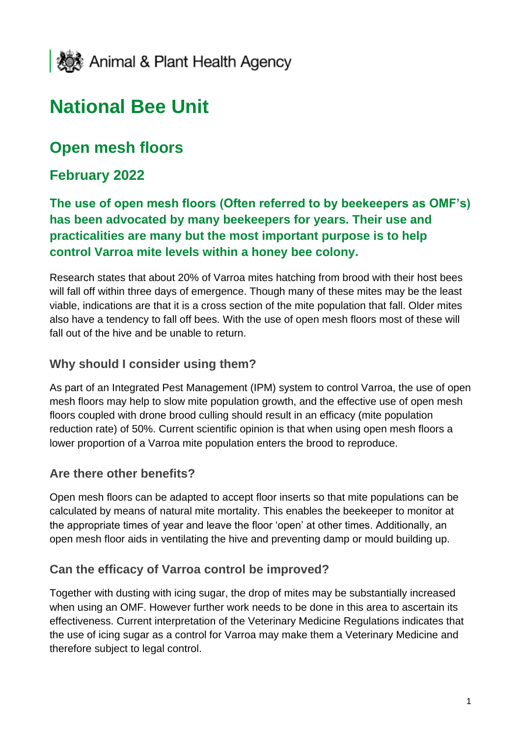

# **National Bee Unit**

## **Open mesh floors**

### **February 2022**

**The use of open mesh floors (Often referred to by beekeepers as OMF's) has been advocated by many beekeepers for years. Their use and practicalities are many but the most important purpose is to help control Varroa mite levels within a honey bee colony.** 

Research states that about 20% of Varroa mites hatching from brood with their host bees will fall off within three days of emergence. Though many of these mites may be the least viable, indications are that it is a cross section of the mite population that fall. Older mites also have a tendency to fall off bees. With the use of open mesh floors most of these will fall out of the hive and be unable to return.

#### **Why should I consider using them?**

As part of an Integrated Pest Management (IPM) system to control Varroa, the use of open mesh floors may help to slow mite population growth, and the effective use of open mesh floors coupled with drone brood culling should result in an efficacy (mite population reduction rate) of 50%. Current scientific opinion is that when using open mesh floors a lower proportion of a Varroa mite population enters the brood to reproduce.

#### **Are there other benefits?**

Open mesh floors can be adapted to accept floor inserts so that mite populations can be calculated by means of natural mite mortality. This enables the beekeeper to monitor at the appropriate times of year and leave the floor 'open' at other times. Additionally, an open mesh floor aids in ventilating the hive and preventing damp or mould building up.

#### **Can the efficacy of Varroa control be improved?**

Together with dusting with icing sugar, the drop of mites may be substantially increased when using an OMF. However further work needs to be done in this area to ascertain its effectiveness. Current interpretation of the Veterinary Medicine Regulations indicates that the use of icing sugar as a control for Varroa may make them a Veterinary Medicine and therefore subject to legal control.